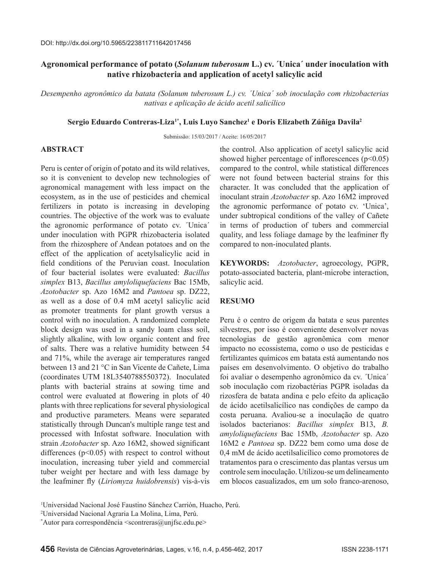# **Agronomical performance of potato (***Solanum tuberosum* **L.) cv. ´Unica´ under inoculation with native rhizobacteria and application of acetyl salicylic acid**

*Desempenho agronômico da batata (Solanum tuberosum L.) cv. ´Unica´ sob inoculação com rhizobacterias nativas e aplicação de ácido acetil salicílico*

### **Sergio Eduardo Contreras-Liza1\*, Luis Luyo Sanchez1 e Doris Elizabeth Zúñiga Davila2**

Submissão: 15/03/2017 / Aceite: 16/05/2017

## **ABSTRACT**

Peru is center of origin of potato and its wild relatives, so it is convenient to develop new technologies of agronomical management with less impact on the ecosystem, as in the use of pesticides and chemical fertilizers in potato is increasing in developing countries. The objective of the work was to evaluate the agronomic performance of potato cv. ´Unica´ under inoculation with PGPR rhizobacteria isolated from the rhizosphere of Andean potatoes and on the effect of the application of acetylsalicylic acid in field conditions of the Peruvian coast. Inoculation of four bacterial isolates were evaluated: *Bacillus simplex* B13, *Bacillus amyloliquefaciens* Bac 15Mb, *Azotobacter* sp. Azo 16M2 and *Pantoea* sp. DZ22, as well as a dose of 0.4 mM acetyl salicylic acid as promoter treatments for plant growth versus a control with no inoculation. A randomized complete block design was used in a sandy loam class soil, slightly alkaline, with low organic content and free of salts. There was a relative humidity between 54 and 71%, while the average air temperatures ranged between 13 and 21 °C in San Vicente de Cañete, Lima (coordinates UTM 18L3540788550372). Inoculated plants with bacterial strains at sowing time and control were evaluated at flowering in plots of 40 plants with three replications for several physiological and productive parameters. Means were separated statistically through Duncan's multiple range test and processed with Infostat software. Inoculation with strain *Azotobacter* sp. Azo 16M2, showed significant differences  $(p<0.05)$  with respect to control without inoculation, increasing tuber yield and commercial tuber weight per hectare and with less damage by the leafminer fly (*Liriomyza huidobrensis*) vis-à-vis the control. Also application of acetyl salicylic acid showed higher percentage of inflorescences  $(p<0.05)$ compared to the control, while statistical differences were not found between bacterial strains for this character. It was concluded that the application of inoculant strain *Azotobacter* sp. Azo 16M2 improved the agronomic performance of potato cv. 'Unica', under subtropical conditions of the valley of Cañete in terms of production of tubers and commercial quality, and less foliage damage by the leafminer fly compared to non-inoculated plants.

**KEYWORDS:** *Azotobacter*, agroecology, PGPR, potato-associated bacteria, plant-microbe interaction, salicylic acid.

## **RESUMO**

Peru é o centro de origem da batata e seus parentes silvestres, por isso é conveniente desenvolver novas tecnologias de gestão agronômica com menor impacto no ecossistema, como o uso de pesticidas e fertilizantes químicos em batata está aumentando nos países em desenvolvimento. O objetivo do trabalho foi avaliar o desempenho agronômico da cv. ´Unica´ sob inoculação com rizobactérias PGPR isoladas da rizosfera de batata andina e pelo efeito da aplicação de ácido acetilsalicílico nas condições de campo da costa peruana. Avaliou-se a inoculação de quatro isolados bacterianos: *Bacillus simplex* B13, *B. amyloliquefaciens* Bac 15Mb, *Azotobacter* sp. Azo 16M2 e *Pantoea* sp. DZ22 bem como uma dose de 0,4 mM de ácido acetilsalicílico como promotores de tratamentos para o crescimento das plantas versus um controle sem inoculação. Utilizou-se um delineamento em blocos casualizados, em um solo franco-arenoso,

<sup>1</sup> Universidad Nacional José Faustino Sánchez Carrión, Huacho, Perú.

<sup>2</sup> Universidad Nacional Agraria La Molina, Lima, Perú.

<sup>\*</sup> Autor para correspondência <scontreras@unjfsc.edu.pe>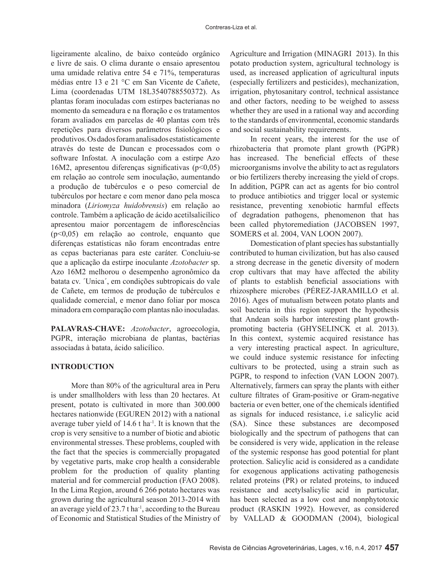ligeiramente alcalino, de baixo conteúdo orgânico e livre de sais. O clima durante o ensaio apresentou uma umidade relativa entre 54 e 71%, temperaturas médias entre 13 e 21 °C em San Vicente de Cañete, Lima (coordenadas UTM 18L3540788550372). As plantas foram inoculadas com estirpes bacterianas no momento da semeadura e na floração e os tratamentos foram avaliados em parcelas de 40 plantas com três repetições para diversos parâmetros fisiológicos e produtivos. Os dados foram analisados estatisticamente através do teste de Duncan e processados com o software Infostat. A inoculação com a estirpe Azo 16M2, apresentou diferenças significativas ( $p<0.05$ ) em relação ao controle sem inoculação, aumentando a produção de tubérculos e o peso comercial de tubérculos por hectare e com menor dano pela mosca minadora (*Liriomyza huidobrensis*) em relação ao controle. Também a aplicação de ácido acetilsalicílico apresentou maior porcentagem de inflorescências (p<0,05) em relação ao controle, enquanto que diferenças estatísticas não foram encontradas entre as cepas bacterianas para este caráter. Concluiu-se que a aplicação da estirpe inoculante *Azotobacter* sp. Azo 16M2 melhorou o desempenho agronômico da batata cv. ´Unica´, em condições subtropicais do vale de Cañete, em termos de produção de tubérculos e qualidade comercial, e menor dano foliar por mosca minadora em comparação com plantas não inoculadas.

**PALAVRAS-CHAVE:** *Azotobacter*, agroecologia, PGPR, interação microbiana de plantas, bactérias associadas à batata, ácido salicílico.

#### **INTRODUCTION**

More than 80% of the agricultural area in Peru is under smallholders with less than 20 hectares. At present, potato is cultivated in more than 300.000 hectares nationwide (EGUREN 2012) with a national average tuber yield of  $14.6$  t ha<sup>-1</sup>. It is known that the crop is very sensitive to a number of biotic and abiotic environmental stresses. These problems, coupled with the fact that the species is commercially propagated by vegetative parts, make crop health a considerable problem for the production of quality planting material and for commercial production (FAO 2008). In the Lima Region, around 6 266 potato hectares was grown during the agricultural season 2013-2014 with an average yield of  $23.7$  t ha<sup>-1</sup>, according to the Bureau of Economic and Statistical Studies of the Ministry of

Agriculture and Irrigation (MINAGRI 2013). In this potato production system, agricultural technology is used, as increased application of agricultural inputs (especially fertilizers and pesticides), mechanization, irrigation, phytosanitary control, technical assistance and other factors, needing to be weighed to assess whether they are used in a rational way and according to the standards of environmental, economic standards and social sustainability requirements.

In recent years, the interest for the use of rhizobacteria that promote plant growth (PGPR) has increased. The beneficial effects of these microorganisms involve the ability to act as regulators or bio fertilizers thereby increasing the yield of crops. In addition, PGPR can act as agents for bio control to produce antibiotics and trigger local or systemic resistance, preventing xenobiotic harmful effects of degradation pathogens, phenomenon that has been called phytoremediation (JACOBSEN 1997, SOMERS et al. 2004, VAN LOON 2007).

Domestication of plant species has substantially contributed to human civilization, but has also caused a strong decrease in the genetic diversity of modern crop cultivars that may have affected the ability of plants to establish beneficial associations with rhizosphere microbes (PÉREZ-JARAMILLO et al. 2016). Ages of mutualism between potato plants and soil bacteria in this region support the hypothesis that Andean soils harbor interesting plant growthpromoting bacteria (GHYSELINCK et al. 2013). In this context, systemic acquired resistance has a very interesting practical aspect. In agriculture, we could induce systemic resistance for infecting cultivars to be protected, using a strain such as PGPR, to respond to infection (VAN LOON 2007). Alternatively, farmers can spray the plants with either culture filtrates of Gram-positive or Gram-negative bacteria or even better, one of the chemicals identified as signals for induced resistance, i.e salicylic acid (SA). Since these substances are decomposed biologically and the spectrum of pathogens that can be considered is very wide, application in the release of the systemic response has good potential for plant protection. Salicylic acid is considered as a candidate for exogenous applications activating pathogenesis related proteins (PR) or related proteins, to induced resistance and acetylsalicylic acid in particular, has been selected as a low cost and nonphytotoxic product (RASKIN 1992). However, as considered by VALLAD & GOODMAN (2004), biological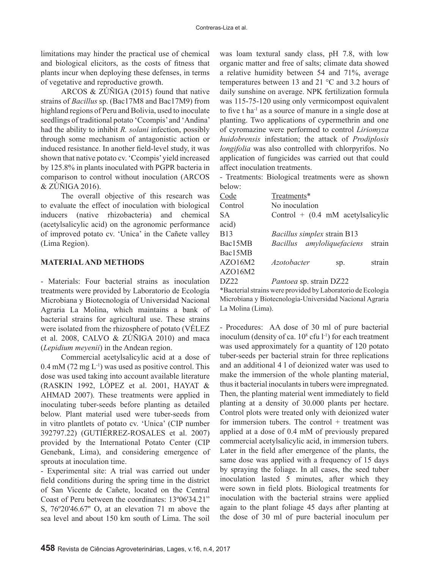limitations may hinder the practical use of chemical and biological elicitors, as the costs of fitness that plants incur when deploying these defenses, in terms of vegetative and reproductive growth.

ARCOS & ZÚÑIGA (2015) found that native strains of *Bacillus* sp. (Bac17M8 and Bac17M9) from highland regions of Peru and Bolivia, used to inoculate seedlings of traditional potato 'Ccompis' and 'Andina' had the ability to inhibit *R. solani* infection, possibly through some mechanism of antagonistic action or induced resistance. In another field-level study, it was shown that native potato cv. 'Ccompis' yield increased by 125.8% in plants inoculated with PGPR bacteria in comparison to control without inoculation (ARCOS & ZÚÑIGA 2016).

The overall objective of this research was to evaluate the effect of inoculation with biological inducers (native rhizobacteria) and chemical (acetylsalicylic acid) on the agronomic performance of improved potato cv. 'Unica' in the Cañete valley (Lima Region).

## **MATERIAL AND METHODS**

- Materials: Four bacterial strains as inoculation treatments were provided by Laboratorio de Ecología Microbiana y Biotecnología of Universidad Nacional Agraria La Molina, which maintains a bank of bacterial strains for agricultural use. These strains were isolated from the rhizosphere of potato (VÉLEZ et al. 2008, CALVO & ZÚÑIGA 2010) and maca (*Lepidium meyenii*) in the Andean region.

Commercial acetylsalicylic acid at a dose of  $0.4$  mM (72 mg L<sup>-1</sup>) was used as positive control. This dose was used taking into account available literature (RASKIN 1992, LÓPEZ et al. 2001, HAYAT & AHMAD 2007). These treatments were applied in inoculating tuber-seeds before planting as detailed below. Plant material used were tuber-seeds from in vitro plantlets of potato cv. 'Unica' (CIP number 392797.22) (GUTIÉRREZ-ROSALES et al. 2007) provided by the International Potato Center (CIP Genebank, Lima), and considering emergence of sprouts at inoculation time.

- Experimental site: A trial was carried out under field conditions during the spring time in the district of San Vicente de Cañete, located on the Central Coast of Peru between the coordinates: 13º06'34.21" S, 76º20'46.67'' O, at an elevation 71 m above the sea level and about 150 km south of Lima. The soil

was loam textural sandy class, pH 7.8, with low organic matter and free of salts; climate data showed a relative humidity between 54 and 71%, average temperatures between 13 and 21 °C and 3.2 hours of daily sunshine on average. NPK fertilization formula was 115-75-120 using only vermicompost equivalent to five t ha-1 as a source of manure in a single dose at planting. Two applications of cypermethrin and one of cyromazine were performed to control *Liriomyza huidobrensis* infestation; the attack of *Prodiplosis longifolia* was also controlled with chlorpyrifos. No application of fungicides was carried out that could affect inoculation treatments.

- Treatments: Biological treatments were as shown below:

| Code    | Treatments*                          |  |
|---------|--------------------------------------|--|
| Control | No inoculation                       |  |
| SA      | Control $+$ (0.4 mM acetylsalicylic  |  |
| acid)   |                                      |  |
| B13     | Bacillus simplex strain B13          |  |
| Bac15MB | Bacillus amyloliquefaciens<br>strain |  |
| Bac15MB |                                      |  |
| AZO16M2 | strain<br><i>Azotobacter</i><br>Sp.  |  |
| AZO16M2 |                                      |  |
|         |                                      |  |

DZ22 *Pantoea* sp. strain DZ22

\*Bacterial strains were provided by Laboratorio de Ecología Microbiana y Biotecnología-Universidad Nacional Agraria La Molina (Lima).

- Procedures: AA dose of 30 ml of pure bacterial inoculum (density of ca.  $10^8$  cfu  $1^{-1}$ ) for each treatment was used approximately for a quantity of 120 potato tuber-seeds per bacterial strain for three replications and an additional 4 l of deionized water was used to make the immersion of the whole planting material, thus it bacterial inoculants in tubers were impregnated. Then, the planting material went immediately to field planting at a density of 30.000 plants per hectare. Control plots were treated only with deionized water for immersion tubers. The control  $+$  treatment was applied at a dose of 0.4 mM of previously prepared commercial acetylsalicylic acid, in immersion tubers. Later in the field after emergence of the plants, the same dose was applied with a frequency of 15 days by spraying the foliage. In all cases, the seed tuber inoculation lasted 5 minutes, after which they were sown in field plots. Biological treatments for inoculation with the bacterial strains were applied again to the plant foliage 45 days after planting at the dose of 30 ml of pure bacterial inoculum per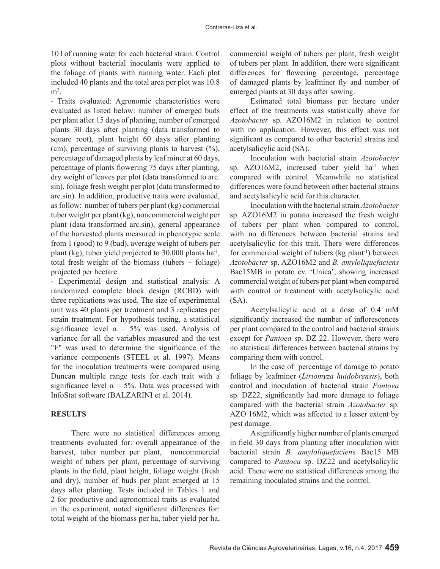10 l of running water for each bacterial strain. Control plots without bacterial inoculants were applied to the foliage of plants with running water. Each plot included 40 plants and the total area per plot was 10.8  $m<sup>2</sup>$ .

- Traits evaluated: Agronomic characteristics were evaluated as listed below: number of emerged buds per plant after 15 days of planting, number of emerged plants 30 days after planting (data transformed to square root), plant height 60 days after planting (cm), percentage of surviving plants to harvest  $(\%)$ , percentage of damaged plants by leaf miner at 60 days, percentage of plants flowering 75 days after planting, dry weight of leaves per plot (data transformed to arc. sin), foliage fresh weight per plot (data transformed to arc.sin). In addition, productive traits were evaluated, as follow: number of tubers per plant (kg) commercial tuber weight per plant (kg), noncommercial weight per plant (data transformed arc.sin), general appearance of the harvested plants measured in phenotypic scale from 1 (good) to 9 (bad), average weight of tubers per plant (kg), tuber yield projected to 30.000 plants ha-1, total fresh weight of the biomass (tubers + foliage) projected per hectare.

- Experimental design and statistical analysis: A randomized complete block design (RCBD) with three replications was used. The size of experimental unit was 40 plants per treatment and 3 replicates per strain treatment. For hypothesis testing, a statistical significance level  $\alpha = 5\%$  was used. Analysis of variance for all the variables measured and the test "F" was used to determine the significance of the variance components (STEEL et al. 1997). Means for the inoculation treatments were compared using Duncan multiple range tests for each trait with a significance level  $\alpha = 5\%$ . Data was processed with InfoStat software (BALZARINI et al. 2014).

### **RESULTS**

There were no statistical differences among treatments evaluated for: overall appearance of the harvest, tuber number per plant, noncommercial weight of tubers per plant, percentage of surviving plants in the field, plant height, foliage weight (fresh and dry), number of buds per plant emerged at 15 days after planting. Tests included in Tables 1 and 2 for productive and agronomical traits as evaluated in the experiment, noted significant differences for: total weight of the biomass per ha, tuber yield per ha,

commercial weight of tubers per plant, fresh weight of tubers per plant. In addition, there were significant differences for flowering percentage, percentage of damaged plants by leafminer fly and number of emerged plants at 30 days after sowing.

Estimated total biomass per hectare under effect of the treatments was statistically above for *Azotobacter* sp. AZO16M2 in relation to control with no application. However, this effect was not significant as compared to other bacterial strains and acetylsalicylic acid (SA).

Inoculation with bacterial strain *Azotobacter*  sp.  $AZO16M2$ , increased tuber yield  $ha^{-1}$  when compared with control. Meanwhile no statistical differences were found between other bacterial strains and acetylsalicylic acid for this character.

Inoculation with the bacterial strain *Azotobacter*  sp. AZO16M2 in potato increased the fresh weight of tubers per plant when compared to control, with no differences between bacterial strains and acetylsalicylic for this trait. There were differences for commercial weight of tubers (kg plant<sup>-1</sup>) between *Azotobacter* sp. AZO16M2 and *B. amyloliquefaciens*  Bac15MB in potato cv. 'Unica', showing increased commercial weight of tubers per plant when compared with control or treatment with acetylsalicylic acid (SA).

Acetylsalicylic acid at a dose of 0.4 mM significantly increased the number of inflorescences per plant compared to the control and bacterial strains except for *Pantoea* sp. DZ 22. However, there were no statistical differences between bacterial strains by comparing them with control.

In the case of percentage of damage to potato foliage by leafminer (*Liriomyza huidobrensis*), both control and inoculation of bacterial strain *Pantoea*  sp. DZ22, significantly had more damage to foliage compared with the bacterial strain *Azotobacter* sp. AZO 16M2, which was affected to a lesser extent by pest damage.

A significantly higher number of plants emerged in field 30 days from planting after inoculation with bacterial strain *B. amyloliquefacien*s Bac15 MB compared to *Pantoea* sp. DZ22 and acetylsalicylic acid. There were no statistical differences among the remaining inoculated strains and the control.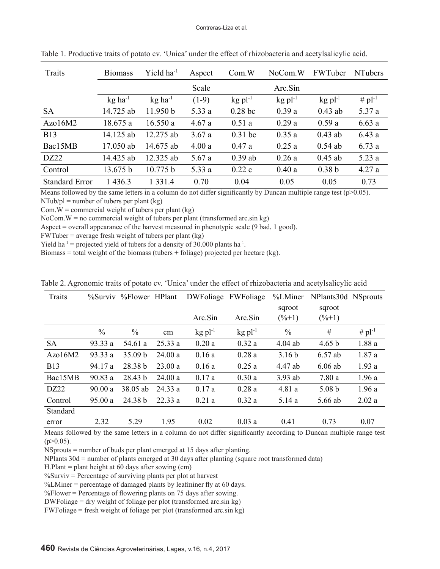| Traits                | <b>Biomass</b>        | Yield $ha^{-1}$       | Aspect  | Com.W                 | NoCom.W               | FWTuber               | <b>NTubers</b> |
|-----------------------|-----------------------|-----------------------|---------|-----------------------|-----------------------|-----------------------|----------------|
|                       |                       |                       | Scale   |                       | Arc.Sin               |                       |                |
|                       | $kg$ ha <sup>-1</sup> | $kg$ ha <sup>-1</sup> | $(1-9)$ | $kg$ pl <sup>-1</sup> | $kg$ pl <sup>-1</sup> | $kg$ pl <sup>-1</sup> | # $pl^{-1}$    |
| <b>SA</b>             | 14.725 ab             | 11.950 b              | 5.33 a  | $0.28$ bc             | 0.39a                 | $0.43$ ab             | 5.37 a         |
| Azo16M2               | 18.675 a              | 16.550a               | 4.67a   | 0.51a                 | 0.29a                 | 0.59a                 | 6.63a          |
| <b>B13</b>            | 14.125 ab             | 12.275 ab             | 3.67a   | $0.31$ bc             | 0.35a                 | $0.43$ ab             | 6.43a          |
| Bac15MB               | 17.050 ab             | 14.675 ab             | 4.00a   | 0.47a                 | 0.25a                 | $0.54$ ab             | 6.73a          |
| DZ22                  | 14.425 ab             | 12.325 ab             | 5.67a   | $0.39$ ab             | 0.26a                 | $0.45$ ab             | 5.23a          |
| Control               | 13.675 b              | 10.775 b              | 5.33 a  | 0.22c                 | 0.40a                 | 0.38 <sub>b</sub>     | 4.27a          |
| <b>Standard Error</b> | 1 4 3 6 . 3           | 1 3 3 1 .4            | 0.70    | 0.04                  | 0.05                  | 0.05                  | 0.73           |

Table 1. Productive traits of potato cv. 'Unica' under the effect of rhizobacteria and acetylsalicylic acid.

Means followed by the same letters in a column do not differ significantly by Duncan multiple range test (p>0.05).  $NTub.pl = number of tubes per plant (kg)$ 

Com.  $W =$  commercial weight of tubers per plant (kg)

NoCom.  $W =$  no commercial weight of tubers per plant (transformed arc.sin kg)

Aspect = overall appearance of the harvest measured in phenotypic scale (9 bad, 1 good).

 $FWTuber = average fresh weight of tubes per plant (kg)$ 

Yield ha<sup>-1</sup> = projected yield of tubers for a density of 30.000 plants ha<sup>-1</sup>.

Biomass = total weight of the biomass (tubers  $+$  foliage) projected per hectare (kg).

| Traits     |               | %Surviv %Flower HPlant |         | DWFoliage             | FWFoliage             | %LMiner           | NPlants30d NSprouts |             |
|------------|---------------|------------------------|---------|-----------------------|-----------------------|-------------------|---------------------|-------------|
|            |               |                        |         |                       |                       | sqroot            | sqroot              |             |
|            |               |                        |         | Arc.Sin               | Arc.Sin               | $(\frac{9}{6}+1)$ | $(\% + 1)$          |             |
|            | $\frac{0}{0}$ | $\frac{0}{0}$          | cm      | $kg$ pl <sup>-1</sup> | $kg$ pl <sup>-1</sup> | $\frac{0}{0}$     | #                   | # $pl^{-1}$ |
| <b>SA</b>  | 93.33 a       | 54.61 a                | 25.33a  | 0.20a                 | 0.32a                 | $4.04$ ab         | 4.65 b              | 1.88a       |
| Azo16M2    | 93.33 a       | 35.09 b                | 24.00a  | 0.16a                 | 0.28a                 | 3.16 <sub>b</sub> | $6.57$ ab           | 1.87a       |
| <b>B13</b> | 94.17 a       | 28.38 b                | 23.00a  | 0.16a                 | 0.25a                 | 4.47 ab           | $6.06$ ab           | 1.93a       |
| Bac15MB    | 90.83 a       | 28.43 b                | 24.00a  | 0.17a                 | 0.30a                 | $3.93$ ab         | 7.80a               | 1.96a       |
| DZ22       | 90.00a        | 38.05 ab               | 24.33 a | 0.17a                 | 0.28a                 | 4.81 a            | 5.08 <sub>b</sub>   | 1.96a       |
| Control    | 95.00a        | 24.38 b                | 22.33a  | 0.21a                 | 0.32a                 | 5.14a             | 5.66 ab             | 2.02a       |
| Standard   |               |                        |         |                       |                       |                   |                     |             |
| error      | 2.32          | 5.29                   | 1.95    | 0.02                  | 0.03a                 | 0.41              | 0.73                | 0.07        |

Table 2. Agronomic traits of potato cv. 'Unica' under the effect of rhizobacteria and acetylsalicylic acid

Means followed by the same letters in a column do not differ significantly according to Duncan multiple range test  $(p>0.05)$ .

NSprouts = number of buds per plant emerged at 15 days after planting.

NPlants 30d = number of plants emerged at 30 days after planting (square root transformed data)

H.Plant = plant height at  $60$  days after sowing (cm)

 $\%$ Surviv = Percentage of surviving plants per plot at harvest

%LMiner = percentage of damaged plants by leafminer fly at 60 days.

 $\%$ Flower = Percentage of flowering plants on 75 days after sowing.

DWFoliage = dry weight of foliage per plot (transformed arc.sin kg)

FWFoliage = fresh weight of foliage per plot (transformed arc.sin kg)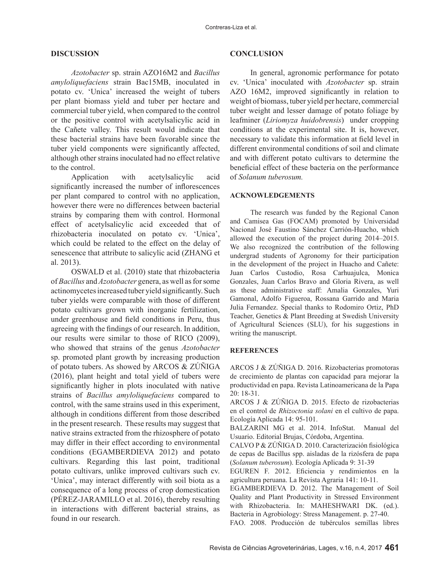#### **DISCUSSION**

*Azotobacter* sp. strain AZO16M2 and *Bacillus amyloliquefaciens* strain Bac15MB, inoculated in potato cv. 'Unica' increased the weight of tubers per plant biomass yield and tuber per hectare and commercial tuber yield, when compared to the control or the positive control with acetylsalicylic acid in the Cañete valley. This result would indicate that these bacterial strains have been favorable since the tuber yield components were significantly affected, although other strains inoculated had no effect relative to the control.

Application with acetylsalicylic acid significantly increased the number of inflorescences per plant compared to control with no application, however there were no differences between bacterial strains by comparing them with control. Hormonal effect of acetylsalicylic acid exceeded that of rhizobacteria inoculated on potato cv. 'Unica', which could be related to the effect on the delay of senescence that attribute to salicylic acid (ZHANG et al. 2013).

OSWALD et al. (2010) state that rhizobacteria of *Bacillus* and *Azotobacter* genera, as well as for some actinomycetes increased tuber yield significantly. Such tuber yields were comparable with those of different potato cultivars grown with inorganic fertilization, under greenhouse and field conditions in Peru, thus agreeing with the findings of our research. In addition, our results were similar to those of RICO (2009), who showed that strains of the genus *Azotobacter*  sp. promoted plant growth by increasing production of potato tubers. As showed by ARCOS & ZÚÑIGA (2016), plant height and total yield of tubers were significantly higher in plots inoculated with native strains of *Bacillus amyloliquefaciens* compared to control, with the same strains used in this experiment, although in conditions different from those described in the present research. These results may suggest that native strains extracted from the rhizosphere of potato may differ in their effect according to environmental conditions (EGAMBERDIEVA 2012) and potato cultivars. Regarding this last point, traditional potato cultivars, unlike improved cultivars such cv. 'Unica', may interact differently with soil biota as a consequence of a long process of crop domestication (PÉREZ-JARAMILLO et al. 2016), thereby resulting in interactions with different bacterial strains, as found in our research.

#### **CONCLUSION**

In general, agronomic performance for potato cv. 'Unica' inoculated with *Azotobacter* sp. strain AZO 16M2, improved significantly in relation to weight of biomass, tuber yield per hectare, commercial tuber weight and lesser damage of potato foliage by leafminer (*Liriomyza huidobrensis*) under cropping conditions at the experimental site. It is, however, necessary to validate this information at field level in different environmental conditions of soil and climate and with different potato cultivars to determine the beneficial effect of these bacteria on the performance of *Solanum tuberosum.*

#### **ACKNOWLEDGEMENTS**

The research was funded by the Regional Canon and Camisea Gas (FOCAM) promoted by Universidad Nacional José Faustino Sánchez Carrión-Huacho, which allowed the execution of the project during 2014–2015. We also recognized the contribution of the following undergrad students of Agronomy for their participation in the development of the project in Huacho and Cañete: Juan Carlos Custodio, Rosa Carhuajulca, Monica Gonzales, Juan Carlos Bravo and Gloria Rivera, as well as these administrative staff: Amalia Gonzales, Yuri Gamonal, Adolfo Figueroa, Rossana Garrido and Maria Julia Fernandez. Special thanks to Rodomiro Ortiz, PhD Teacher, Genetics & Plant Breeding at Swedish University of Agricultural Sciences (SLU), for his suggestions in writing the manuscript.

#### **REFERENCES**

ARCOS J & ZÚÑIGA D. 2016. Rizobacterias promotoras de crecimiento de plantas con capacidad para mejorar la productividad en papa. Revista Latinoamericana de la Papa 20: 18-31.

ARCOS J & ZÚÑIGA D. 2015. Efecto de rizobacterias en el control de *Rhizoctonia solani* en el cultivo de papa. Ecología Aplicada 14: 95-101.

BALZARINI MG et al. 2014. InfoStat. Manual del Usuario. Editorial Brujas, Córdoba, Argentina.

CALVO P & ZÚÑIGA D. 2010. Caracterización fisiológica de cepas de Bacillus spp. aisladas de la rizósfera de papa (*Solanum tuberosum*). Ecología Aplicada 9: 31-39

EGUREN F. 2012. Eficiencia y rendimientos en la agricultura peruana. La Revista Agraria 141: 10-11.

EGAMBERDIEVA D. 2012. The Management of Soil Quality and Plant Productivity in Stressed Environment with Rhizobacteria. In: MAHESHWARI DK. (ed.). Bacteria in Agrobiology: Stress Management. p. 27-40.

FAO. 2008. Producción de tubérculos semillas libres